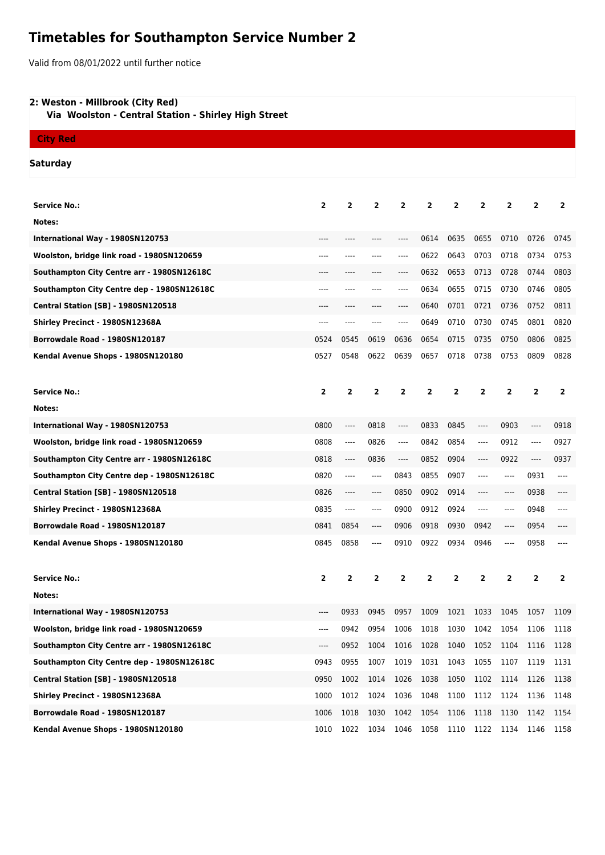# **Timetables for Southampton Service Number 2**

Valid from 08/01/2022 until further notice

## **2: Weston - Millbrook (City Red)**

 **Via Woolston - Central Station - Shirley High Street**

# **City Red**

### **Saturday**

| <b>Service No.:</b>                        | $\mathbf{2}$   | $\overline{2}$ | 2                             | 2                        | 2    | 2              | 2    | $\overline{2}$ | $\mathbf{2}$   | $\overline{2}$ |
|--------------------------------------------|----------------|----------------|-------------------------------|--------------------------|------|----------------|------|----------------|----------------|----------------|
| Notes:                                     |                |                |                               |                          |      |                |      |                |                |                |
| International Way - 1980SN120753           |                |                |                               | ----                     | 0614 | 0635           | 0655 | 0710           | 0726           | 0745           |
| Woolston, bridge link road - 1980SN120659  | ----           | ----           |                               | ----                     | 0622 | 0643           | 0703 | 0718           | 0734           | 0753           |
| Southampton City Centre arr - 1980SN12618C |                |                |                               | ----                     | 0632 | 0653           | 0713 | 0728           | 0744           | 0803           |
| Southampton City Centre dep - 1980SN12618C | ----           | ----           | ----                          | ----                     | 0634 | 0655           | 0715 | 0730           | 0746           | 0805           |
| <b>Central Station [SB] - 1980SN120518</b> |                |                |                               | ----                     | 0640 | 0701           | 0721 | 0736           | 0752           | 0811           |
| Shirley Precinct - 1980SN12368A            |                |                |                               |                          |      |                |      |                | 0801           |                |
|                                            | ----           | ----           | ----                          | ----                     | 0649 | 0710           | 0730 | 0745           |                | 0820           |
| Borrowdale Road - 1980SN120187             | 0524           | 0545           | 0619                          | 0636                     | 0654 | 0715           | 0735 | 0750           | 0806           | 0825           |
| Kendal Avenue Shops - 1980SN120180         | 0527           | 0548           | 0622                          | 0639                     | 0657 | 0718           | 0738 | 0753           | 0809           | 0828           |
|                                            |                |                |                               |                          |      |                |      |                |                |                |
| <b>Service No.:</b>                        | $\mathbf{2}$   | 2              | 2                             | $\mathbf{2}$             | 2    | 2              | 2    | 2              | 2              | $\overline{2}$ |
| Notes:                                     |                |                |                               |                          |      |                |      |                |                |                |
| International Way - 1980SN120753           | 0800           | ----           | 0818                          | ----                     | 0833 | 0845           | ---- | 0903           | ----           | 0918           |
| Woolston, bridge link road - 1980SN120659  | 0808           | ----           | 0826                          | ----                     | 0842 | 0854           | ---- | 0912           | ----           | 0927           |
| Southampton City Centre arr - 1980SN12618C | 0818           | ----           | 0836                          | ----                     | 0852 | 0904           | ---- | 0922           | $\cdots$       | 0937           |
| Southampton City Centre dep - 1980SN12618C | 0820           | ----           | $---$                         | 0843                     | 0855 | 0907           | ---- | ----           | 0931           | ----           |
| <b>Central Station [SB] - 1980SN120518</b> | 0826           | ----           | $-----$                       | 0850                     | 0902 | 0914           | ---- | ----           | 0938           |                |
| Shirley Precinct - 1980SN12368A            | 0835           | ----           | $---$                         | 0900                     | 0912 | 0924           | ---- | ----           | 0948           | $---$          |
| Borrowdale Road - 1980SN120187             | 0841           | 0854           | $\hspace{1.5cm} \textbf{---}$ | 0906                     | 0918 | 0930           | 0942 | ----           | 0954           |                |
| Kendal Avenue Shops - 1980SN120180         | 0845           | 0858           | ----                          | 0910                     | 0922 | 0934           | 0946 | ----           | 0958           |                |
|                                            |                |                |                               |                          |      |                |      |                |                |                |
| Service No.:                               | $\overline{2}$ | $\overline{2}$ | 2                             | 2                        | 2    | $\overline{2}$ | 2    | $\mathbf{2}$   | $\overline{2}$ | $\overline{2}$ |
| Notes:                                     |                |                |                               |                          |      |                |      |                |                |                |
| International Way - 1980SN120753           | $-----$        | 0933           | 0945                          | 0957                     | 1009 | 1021           | 1033 | 1045           | 1057           | 1109           |
| Woolston, bridge link road - 1980SN120659  | ----           | 0942           | 0954                          | 1006                     | 1018 | 1030           | 1042 | 1054           | 1106           | 1118           |
| Southampton City Centre arr - 1980SN12618C |                | 0952           |                               | 1004 1016 1028 1040 1052 |      |                |      | 1104 1116 1128 |                |                |
| Southampton City Centre dep - 1980SN12618C | 0943           | 0955           | 1007                          | 1019                     | 1031 | 1043           | 1055 | 1107           | 1119           | 1131           |
| <b>Central Station [SB] - 1980SN120518</b> | 0950           | 1002           | 1014                          | 1026                     | 1038 | 1050           | 1102 | 1114           | 1126           | 1138           |
| Shirley Precinct - 1980SN12368A            | 1000           | 1012           | 1024                          | 1036                     | 1048 | 1100           | 1112 | 1124           | 1136           | 1148           |
| Borrowdale Road - 1980SN120187             | 1006           | 1018           | 1030                          | 1042                     | 1054 | 1106           | 1118 | 1130           | 1142           | 1154           |
| Kendal Avenue Shops - 1980SN120180         | 1010           | 1022           | 1034                          | 1046                     | 1058 | 1110           | 1122 | 1134           | 1146           | 1158           |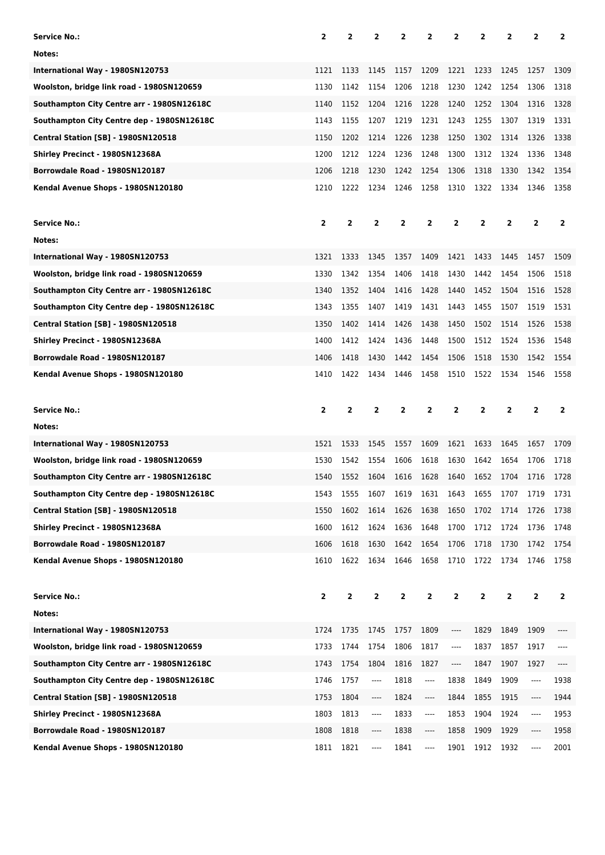| <b>Service No.:</b>                        | $\overline{2}$          | $\overline{2}$ | 2              | 2    | 2         | 2              | 2                       | 2              | 2              | 2              |
|--------------------------------------------|-------------------------|----------------|----------------|------|-----------|----------------|-------------------------|----------------|----------------|----------------|
| Notes:                                     |                         |                |                |      |           |                |                         |                |                |                |
| International Way - 1980SN120753           | 1121                    | 1133           | 1145           | 1157 | 1209      | 1221           | 1233                    | 1245           | 1257           | 1309           |
| Woolston, bridge link road - 1980SN120659  | 1130                    | 1142           | 1154           | 1206 | 1218      | 1230           | 1242                    | 1254           | 1306           | 1318           |
| Southampton City Centre arr - 1980SN12618C | 1140                    | 1152           | 1204           | 1216 | 1228      | 1240           | 1252                    | 1304           | 1316           | 1328           |
| Southampton City Centre dep - 1980SN12618C | 1143                    | 1155           | 1207           | 1219 | 1231      | 1243           | 1255                    | 1307           | 1319           | 1331           |
| <b>Central Station [SB] - 1980SN120518</b> | 1150                    | 1202           | 1214           | 1226 | 1238      | 1250           | 1302                    | 1314           | 1326           | 1338           |
| Shirley Precinct - 1980SN12368A            | 1200                    | 1212           | 1224           | 1236 | 1248      | 1300           | 1312                    | 1324           | 1336           | 1348           |
| Borrowdale Road - 1980SN120187             | 1206                    | 1218           | 1230           | 1242 | 1254      | 1306           | 1318                    | 1330           | 1342           | 1354           |
| Kendal Avenue Shops - 1980SN120180         | 1210                    | 1222           | 1234           | 1246 | 1258      | 1310           | 1322                    | 1334           | 1346           | 1358           |
|                                            |                         |                |                |      |           |                |                         |                |                |                |
| <b>Service No.:</b>                        | $\overline{\mathbf{2}}$ | $\mathbf{2}$   | $\mathbf{2}$   | 2    | 2         | 2              | 2                       | 2              | 2              | 2              |
| Notes:                                     |                         |                |                |      |           |                |                         |                |                |                |
| International Way - 1980SN120753           | 1321                    | 1333           | 1345           | 1357 | 1409      | 1421           | 1433                    | 1445           | 1457           | 1509           |
| Woolston, bridge link road - 1980SN120659  | 1330                    | 1342           | 1354           | 1406 | 1418      | 1430           | 1442                    | 1454           | 1506           | 1518           |
| Southampton City Centre arr - 1980SN12618C | 1340                    | 1352           | 1404           | 1416 | 1428      | 1440           | 1452                    | 1504           | 1516           | 1528           |
| Southampton City Centre dep - 1980SN12618C | 1343                    | 1355           | 1407           | 1419 | 1431      | 1443           | 1455                    | 1507           | 1519           | 1531           |
| <b>Central Station [SB] - 1980SN120518</b> | 1350                    | 1402           | 1414           | 1426 | 1438      | 1450           | 1502                    | 1514           | 1526           | 1538           |
| Shirley Precinct - 1980SN12368A            | 1400                    | 1412           | 1424           | 1436 | 1448      | 1500           | 1512                    | 1524           | 1536           | 1548           |
| Borrowdale Road - 1980SN120187             | 1406                    | 1418           | 1430           | 1442 | 1454      | 1506           | 1518                    | 1530           | 1542           | 1554           |
| Kendal Avenue Shops - 1980SN120180         | 1410                    | 1422           | 1434           | 1446 | 1458      | 1510           | 1522                    | 1534           | 1546           | 1558           |
|                                            |                         |                |                |      |           |                |                         |                |                |                |
|                                            |                         |                |                |      |           |                |                         |                |                |                |
| <b>Service No.:</b>                        | $\overline{\mathbf{2}}$ | 2              | $\overline{2}$ | 2    | 2         | $\overline{2}$ | $\overline{\mathbf{2}}$ | $\overline{2}$ | $\overline{2}$ | $\overline{2}$ |
| Notes:                                     |                         |                |                |      |           |                |                         |                |                |                |
| International Way - 1980SN120753           | 1521                    | 1533           | 1545           | 1557 | 1609      | 1621           | 1633                    | 1645           | 1657           | 1709           |
| Woolston, bridge link road - 1980SN120659  | 1530                    | 1542           | 1554           | 1606 | 1618      | 1630           | 1642                    | 1654           | 1706           | 1718           |
| Southampton City Centre arr - 1980SN12618C | 1540                    | 1552           | 1604           | 1616 | 1628      | 1640           | 1652                    | 1704           | 1716           | 1728           |
| Southampton City Centre dep - 1980SN12618C | 1543                    | 1555           | 1607           | 1619 | 1631 1643 |                | 1655                    | 1707           | 1719           | 1731           |
| <b>Central Station [SB] - 1980SN120518</b> | 1550                    | 1602           | 1614           | 1626 | 1638      | 1650           | 1702                    | 1714           | 1726           | 1738           |
| Shirley Precinct - 1980SN12368A            | 1600                    | 1612           | 1624           | 1636 | 1648      | 1700           | 1712                    | 1724           | 1736           | 1748           |
| Borrowdale Road - 1980SN120187             | 1606                    | 1618           | 1630           | 1642 | 1654      | 1706           | 1718                    | 1730           | 1742           | 1754           |
| Kendal Avenue Shops - 1980SN120180         | 1610                    | 1622           | 1634           | 1646 | 1658      | 1710           | 1722                    | 1734           | 1746           | 1758           |
|                                            |                         |                |                |      |           |                |                         |                |                |                |
| <b>Service No.:</b>                        | $\mathbf{2}$            | $\mathbf{2}$   | $\overline{2}$ | 2    | 2         | 2              | 2                       | $\overline{2}$ | $\overline{2}$ | $\overline{2}$ |
| Notes:                                     |                         |                |                |      |           |                |                         |                |                |                |
| International Way - 1980SN120753           | 1724                    | 1735           | 1745           | 1757 | 1809      | ----           | 1829                    | 1849           | 1909           | ----           |
| Woolston, bridge link road - 1980SN120659  | 1733                    | 1744           | 1754           | 1806 | 1817      | ----           | 1837                    | 1857           | 1917           | ----           |
| Southampton City Centre arr - 1980SN12618C | 1743                    | 1754           | 1804           | 1816 | 1827      | ----           | 1847                    | 1907           | 1927           | ----           |
| Southampton City Centre dep - 1980SN12618C | 1746                    | 1757           | ----           | 1818 | ----      | 1838           | 1849                    | 1909           | ----           | 1938           |
| <b>Central Station [SB] - 1980SN120518</b> | 1753                    | 1804           | ----           | 1824 | ----      | 1844           | 1855                    | 1915           | ----           | 1944           |
| Shirley Precinct - 1980SN12368A            | 1803                    | 1813           | ----           | 1833 | ----      | 1853           | 1904                    | 1924           | ----           | 1953           |
| Borrowdale Road - 1980SN120187             | 1808                    | 1818           | ----           | 1838 | ----      | 1858           | 1909                    | 1929           | ----           | 1958           |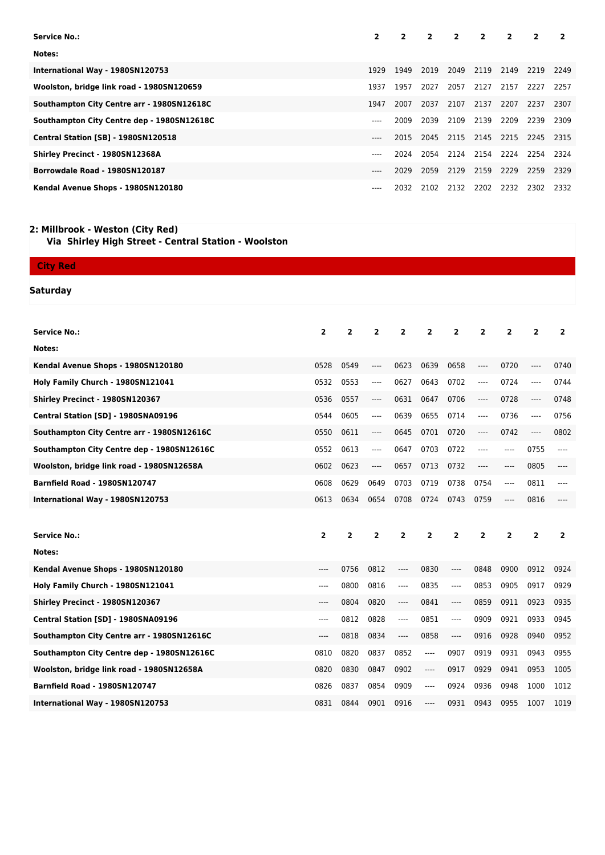| -2                                                           |
|--------------------------------------------------------------|
|                                                              |
|                                                              |
| 2249                                                         |
| 2257                                                         |
| 2307                                                         |
| 2309                                                         |
| 2315                                                         |
| 2324                                                         |
| 2329                                                         |
| 2332                                                         |
| 2219<br>2227<br>2237<br>2239<br>2245<br>2254<br>2259<br>2302 |

#### **2: Millbrook - Weston (City Red)**

 **Via Shirley High Street - Central Station - Woolston**

| <b>City Red</b>                            |                         |                         |                |                |                |                |                         |                |                |                |
|--------------------------------------------|-------------------------|-------------------------|----------------|----------------|----------------|----------------|-------------------------|----------------|----------------|----------------|
| Saturday                                   |                         |                         |                |                |                |                |                         |                |                |                |
|                                            |                         |                         |                |                |                |                |                         |                |                |                |
|                                            |                         |                         |                |                |                |                |                         |                |                |                |
| <b>Service No.:</b>                        | $\overline{2}$          | $\overline{2}$          | $\overline{2}$ | $\overline{2}$ | $\overline{2}$ | $\overline{2}$ | $\overline{2}$          | $\overline{2}$ | $\overline{2}$ | $\overline{2}$ |
| Notes:                                     |                         |                         |                |                |                |                |                         |                |                |                |
| Kendal Avenue Shops - 1980SN120180         | 0528                    | 0549                    | ----           | 0623           | 0639           | 0658           | ----                    | 0720           | $---$          | 0740           |
| Holy Family Church - 1980SN121041          | 0532                    | 0553                    | ----           | 0627           | 0643           | 0702           | ----                    | 0724           | $\cdots$       | 0744           |
| Shirley Precinct - 1980SN120367            | 0536                    | 0557                    | ----           | 0631           | 0647           | 0706           | ----                    | 0728           | $\cdots$       | 0748           |
| Central Station [SD] - 1980SNA09196        | 0544                    | 0605                    | ----           | 0639           | 0655           | 0714           | ----                    | 0736           | $---$          | 0756           |
| Southampton City Centre arr - 1980SN12616C | 0550                    | 0611                    | ----           | 0645           | 0701           | 0720           | ----                    | 0742           | $---$          | 0802           |
| Southampton City Centre dep - 1980SN12616C | 0552                    | 0613                    | ----           | 0647           | 0703           | 0722           | ----                    | ----           | 0755           | ----           |
| Woolston, bridge link road - 1980SN12658A  | 0602                    | 0623                    | ----           | 0657           | 0713           | 0732           | ----                    | ----           | 0805           | ----           |
| <b>Barnfield Road - 1980SN120747</b>       | 0608                    | 0629                    | 0649           | 0703           | 0719           | 0738           | 0754                    | ----           | 0811           | ----           |
| International Way - 1980SN120753           | 0613                    | 0634                    | 0654           | 0708           | 0724           | 0743           | 0759                    | ----           | 0816           |                |
|                                            |                         |                         |                |                |                |                |                         |                |                |                |
| <b>Service No.:</b>                        | $\overline{\mathbf{2}}$ | $\overline{\mathbf{2}}$ | $\overline{2}$ | $\overline{2}$ | $\overline{2}$ | $\overline{2}$ | $\overline{\mathbf{2}}$ | $\overline{2}$ | 2              | $\overline{2}$ |
| Notes:                                     |                         |                         |                |                |                |                |                         |                |                |                |
| Kendal Avenue Shops - 1980SN120180         | $---$                   | 0756                    | 0812           | ----           | 0830           | $---$          | 0848                    | 0900           | 0912           | 0924           |
| Holy Family Church - 1980SN121041          | $---$                   | 0800                    | 0816           | ----           | 0835           | $---$          | 0853                    | 0905           | 0917           | 0929           |
| Shirley Precinct - 1980SN120367            | ----                    | 0804                    | 0820           | ----           | 0841           | $---$          | 0859                    | 0911           | 0923           | 0935           |
| Central Station [SD] - 1980SNA09196        | $---$                   | 0812                    | 0828           | ----           | 0851           | $---$          | 0909                    | 0921           | 0933           | 0945           |
| Southampton City Centre arr - 1980SN12616C | $---$                   | 0818                    | 0834           | ----           | 0858           | $\cdots$       | 0916                    | 0928           | 0940           | 0952           |
| Southampton City Centre dep - 1980SN12616C | 0810                    | 0820                    | 0837           | 0852           | $---$          | 0907           | 0919                    | 0931           | 0943           | 0955           |
| Woolston, bridge link road - 1980SN12658A  | 0820                    | 0830                    | 0847           | 0902           | ----           | 0917           | 0929                    | 0941           | 0953           | 1005           |
| <b>Barnfield Road - 1980SN120747</b>       | 0826                    | 0837                    | 0854           | 0909           | ----           | 0924           | 0936                    | 0948           | 1000           | 1012           |
| International Way - 1980SN120753           | 0831                    | 0844                    | 0901           | 0916           | ----           | 0931           | 0943                    | 0955           | 1007           | 1019           |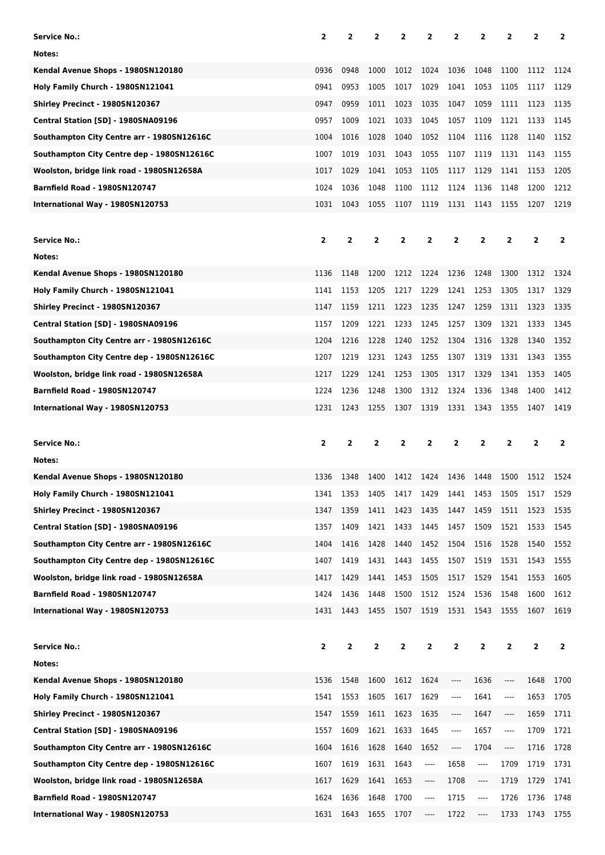| Service No.:                                                      | $\overline{2}$ | $\mathbf{2}$   | $\overline{2}$ | $\overline{2}$ | 2                                                                                                                                                                                                 | $\overline{2}$          | 2                       | 2                             | 2                 | $\mathbf{2}$   |
|-------------------------------------------------------------------|----------------|----------------|----------------|----------------|---------------------------------------------------------------------------------------------------------------------------------------------------------------------------------------------------|-------------------------|-------------------------|-------------------------------|-------------------|----------------|
| Notes:                                                            |                |                |                |                |                                                                                                                                                                                                   |                         |                         |                               |                   |                |
| Kendal Avenue Shops - 1980SN120180                                | 0936           | 0948           | 1000           | 1012           | 1024                                                                                                                                                                                              | 1036                    | 1048                    | 1100                          | 1112              | 1124           |
| Holy Family Church - 1980SN121041                                 | 0941           | 0953           | 1005           | 1017           | 1029                                                                                                                                                                                              | 1041                    | 1053                    | 1105                          | 1117              | 1129           |
| Shirley Precinct - 1980SN120367                                   | 0947           | 0959           | 1011           | 1023           | 1035                                                                                                                                                                                              | 1047                    | 1059                    | 1111                          | 1123              | 1135           |
| Central Station [SD] - 1980SNA09196                               | 0957           | 1009           | 1021           | 1033           | 1045                                                                                                                                                                                              | 1057                    | 1109                    | 1121                          | 1133              | 1145           |
| Southampton City Centre arr - 1980SN12616C                        | 1004           | 1016           | 1028           | 1040           | 1052                                                                                                                                                                                              | 1104                    | 1116                    | 1128                          | 1140              | 1152           |
| Southampton City Centre dep - 1980SN12616C                        | 1007           | 1019           | 1031           | 1043           | 1055                                                                                                                                                                                              | 1107                    | 1119                    | 1131                          | 1143              | 1155           |
| Woolston, bridge link road - 1980SN12658A                         | 1017           | 1029           | 1041           | 1053           | 1105                                                                                                                                                                                              | 1117                    | 1129                    | 1141                          | 1153              | 1205           |
| <b>Barnfield Road - 1980SN120747</b>                              | 1024           | 1036           | 1048           | 1100           | 1112                                                                                                                                                                                              | 1124                    | 1136                    | 1148                          | 1200              | 1212           |
| International Way - 1980SN120753                                  | 1031           | 1043           | 1055           | 1107           | 1119                                                                                                                                                                                              | 1131                    | 1143                    | 1155                          | 1207              | 1219           |
|                                                                   |                |                |                |                |                                                                                                                                                                                                   |                         |                         |                               |                   |                |
| <b>Service No.:</b>                                               | $\mathbf{2}$   | $\overline{2}$ | $\overline{2}$ | $\overline{2}$ | 2                                                                                                                                                                                                 | $\overline{\mathbf{2}}$ | $\overline{\mathbf{2}}$ | $\overline{2}$                | $\overline{2}$    | $\overline{2}$ |
| Notes:                                                            |                |                |                |                |                                                                                                                                                                                                   |                         |                         |                               |                   |                |
| Kendal Avenue Shops - 1980SN120180                                | 1136           | 1148           | 1200           | 1212           | 1224                                                                                                                                                                                              | 1236                    | 1248                    | 1300                          | 1312              | 1324           |
| Holy Family Church - 1980SN121041                                 | 1141           | 1153           | 1205           | 1217           | 1229                                                                                                                                                                                              | 1241                    | 1253                    | 1305                          | 1317              | 1329           |
| Shirley Precinct - 1980SN120367                                   | 1147           | 1159           | 1211           | 1223           | 1235                                                                                                                                                                                              | 1247                    | 1259                    | 1311                          | 1323              | 1335           |
| Central Station [SD] - 1980SNA09196                               | 1157           | 1209           | 1221           | 1233           | 1245                                                                                                                                                                                              | 1257                    | 1309                    | 1321                          | 1333              | 1345           |
| Southampton City Centre arr - 1980SN12616C                        | 1204           | 1216           | 1228           | 1240           | 1252                                                                                                                                                                                              | 1304                    | 1316                    | 1328                          | 1340              | 1352           |
| Southampton City Centre dep - 1980SN12616C                        | 1207           | 1219           | 1231           | 1243           | 1255                                                                                                                                                                                              | 1307                    | 1319                    | 1331                          | 1343              | 1355           |
| Woolston, bridge link road - 1980SN12658A                         | 1217           | 1229           | 1241           | 1253           | 1305                                                                                                                                                                                              | 1317                    | 1329                    | 1341                          | 1353              | 1405           |
| <b>Barnfield Road - 1980SN120747</b>                              | 1224           | 1236           | 1248           | 1300           | 1312                                                                                                                                                                                              | 1324                    | 1336                    | 1348                          | 1400              | 1412           |
| International Way - 1980SN120753                                  | 1231           | 1243           | 1255           | 1307           | 1319                                                                                                                                                                                              | 1331                    | 1343                    | 1355                          | 1407              | 1419           |
|                                                                   |                |                |                |                |                                                                                                                                                                                                   |                         |                         |                               |                   |                |
|                                                                   |                |                |                |                |                                                                                                                                                                                                   |                         |                         |                               |                   |                |
| <b>Service No.:</b>                                               | 2              | 2              | 2              | 2              | 2                                                                                                                                                                                                 | 2                       | 2                       | 2                             | $\overline{2}$    | 2              |
| Notes:                                                            |                |                |                |                |                                                                                                                                                                                                   |                         |                         |                               |                   |                |
| Kendal Avenue Shops - 1980SN120180                                | 1336           | 1348           | 1400           | 1412           | 1424                                                                                                                                                                                              | 1436                    | 1448                    | 1500                          | 1512              | 1524           |
| Holy Family Church - 1980SN121041                                 | 1341           | 1353           | 1405           | 1417           | 1429                                                                                                                                                                                              | 1441                    | 1453                    | 1505                          | 1517              | 1529           |
| Shirley Precinct - 1980SN120367                                   | 1347           | 1359           | 1411           | 1423           | 1435                                                                                                                                                                                              | 1447                    | 1459                    | 1511                          | 1523              | 1535           |
| Central Station [SD] - 1980SNA09196                               | 1357           | 1409           | 1421           | 1433           | 1445                                                                                                                                                                                              | 1457                    | 1509                    | 1521                          | 1533              | 1545           |
| Southampton City Centre arr - 1980SN12616C                        | 1404           | 1416           | 1428           | 1440           | 1452                                                                                                                                                                                              | 1504                    | 1516                    | 1528                          | 1540              | 1552           |
| Southampton City Centre dep - 1980SN12616C                        | 1407           | 1419           | 1431           | 1443           | 1455                                                                                                                                                                                              | 1507                    | 1519                    | 1531                          | 1543              | 1555           |
| Woolston, bridge link road - 1980SN12658A                         | 1417           | 1429           | 1441           | 1453           | 1505                                                                                                                                                                                              | 1517                    | 1529                    | 1541                          | 1553              | 1605           |
| <b>Barnfield Road - 1980SN120747</b>                              | 1424           | 1436           | 1448           | 1500           | 1512                                                                                                                                                                                              | 1524                    | 1536                    | 1548                          | 1600              | 1612           |
| International Way - 1980SN120753                                  | 1431           | 1443           | 1455           | 1507           | 1519                                                                                                                                                                                              | 1531                    | 1543                    | 1555                          | 1607              | 1619           |
|                                                                   |                |                |                |                |                                                                                                                                                                                                   |                         |                         |                               |                   |                |
| <b>Service No.:</b>                                               | $\mathbf{2}$   | $\mathbf{2}$   | $\mathbf{2}$   | 2              | 2                                                                                                                                                                                                 | $\overline{\mathbf{2}}$ | $\overline{\mathbf{2}}$ | $\mathbf{2}$                  | $\overline{2}$    | $\mathbf{2}$   |
| Notes:                                                            |                |                |                |                |                                                                                                                                                                                                   |                         |                         |                               |                   |                |
| Kendal Avenue Shops - 1980SN120180                                | 1536           | 1548           | 1600           | 1612           | 1624                                                                                                                                                                                              | ----                    | 1636                    | $\hspace{1.5cm} \textbf{---}$ | 1648              | 1700           |
| Holy Family Church - 1980SN121041                                 | 1541           | 1553           | 1605           | 1617           | 1629                                                                                                                                                                                              | ----                    | 1641                    | ----                          | 1653              | 1705           |
| Shirley Precinct - 1980SN120367                                   | 1547           | 1559           | 1611           | 1623           | 1635                                                                                                                                                                                              | ----                    | 1647                    | ----                          | 1659              | 1711           |
| Central Station [SD] - 1980SNA09196                               | 1557           | 1609           | 1621           | 1633           | 1645                                                                                                                                                                                              | ----                    | 1657                    | ----                          | 1709              | 1721           |
| Southampton City Centre arr - 1980SN12616C                        | 1604           | 1616           | 1628           | 1640           | 1652                                                                                                                                                                                              | ----                    | 1704                    | ----                          | 1716              | 1728           |
| Southampton City Centre dep - 1980SN12616C                        | 1607           | 1619           | 1631           | 1643           | $---$                                                                                                                                                                                             | 1658                    | ----                    | 1709                          | 1719              | 1731           |
| Woolston, bridge link road - 1980SN12658A                         | 1617           | 1629           | 1641           | 1653           | ----                                                                                                                                                                                              | 1708                    | ----                    | 1719                          | 1729              | 1741           |
| Barnfield Road - 1980SN120747<br>International Way - 1980SN120753 | 1624<br>1631   | 1636<br>1643   | 1648<br>1655   | 1700<br>1707   | $\hspace{0.02in} \hspace{0.02in} \hspace{0.02in} \hspace{0.02in} \hspace{0.02in} \hspace{0.02in} \hspace{0.02in} \hspace{0.02in} \hspace{0.02in} \hspace{0.02in} \hspace{0.02in} \hspace{0.02in}$ | 1715<br>1722            | ----                    | 1726<br>1733                  | 1736<br>1743 1755 | 1748           |